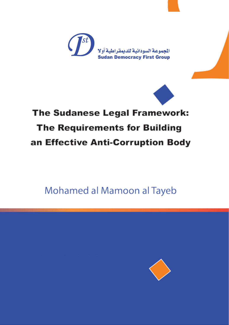



# The Sudanese Legal Framework: **The Requirements for Building** an Effective Anti-Corruption Body

Mohamed al Mamoon al Tayeb

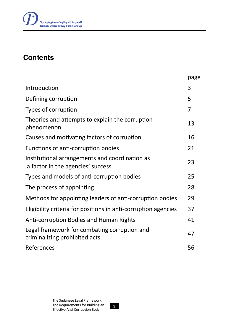

### **Contents**

|                                                                                     | page |
|-------------------------------------------------------------------------------------|------|
| Introduction                                                                        | 3    |
| Defining corruption                                                                 | 5    |
| Types of corruption                                                                 | 7    |
| Theories and attempts to explain the corruption<br>phenomenon                       | 13   |
| Causes and motivating factors of corruption                                         | 16   |
| Functions of anti-corruption bodies                                                 | 21   |
| Institutional arrangements and coordination as<br>a factor in the agencies' success | 23   |
| Types and models of anti-corruption bodies                                          | 25   |
| The process of appointing                                                           | 28   |
| Methods for appointing leaders of anti-corruption bodies                            | 29   |
| Eligibility criteria for positions in anti-corruption agencies                      | 37   |
| Anti-corruption Bodies and Human Rights                                             | 41   |
| Legal framework for combating corruption and<br>criminalizing prohibited acts       | 47   |
| References                                                                          | 56   |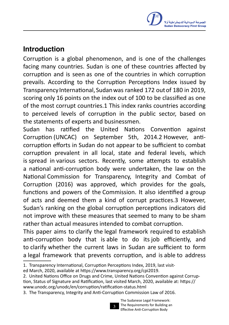### Introduction

Corruption is a global phenomenon, and is one of the challenges facing many countries. Sudan is one of these countries affected by corruption and is seen as one of the countries in which corruption prevails. According to the Corruption Perceptions Index issued by Transparency International, Sudanwas ranked 172 outof 180 in 2019, scoring only 16 points on the index out of 100 to be classified as one of the most corrupt countries.1 This index ranks countries according to perceived levels of corruption in the public sector, based on the statements of experts and businessmen.

Sudan has ratified the United Nations Convention against Corruption (UNCAC) on September 5th, 2014.2 However, anticorruption efforts in Sudan do not appear to be sufficient to combat corruption prevalent in all local, state and federal levels, which is spread in various sectors. Recently, some attempts to establish a national anti-corruption body were undertaken, the law on the National Commission for Transparency, Integrity and Combat of Corruption (2016) was approved, which provides for the goals, functions and powers of the Commission. It also identified a group of acts and deemed them a kind of corrupt practices.3 However, Sudan's ranking on the global corruption perceptions indicators did not improve with these measures that seemed to many to be sham rather than actual measures intended to combat corruption.

This paper aims to clarify the legal framework required to establish anti-corruption body that is able to do its job efficiently, and to clarify whether the current laws in Sudan are sufficient to form a legal framework that prevents corruption, and is able to address

2. United Nations Office on Drugs and Crime, United Nations Convention against Corruption, Status of Signature and Ratification, last visited March, 2020, available at: https:// www.unodc.org/unodc/en/corruption/ratification-status.html

<sup>3</sup>. The Transparency, Integrity and Anti-Corruption Commission Law of 2016.



<sup>1</sup>. Transparency International, Corruption Perceptions Index, 2019, last visit-

ed March, 2020, available at https://www.transparency.org/cpi2019.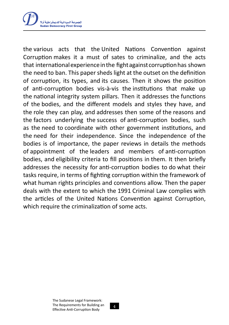

the various acts that the United Nations Convention against Corruption makes it a must of sates to criminalize, and the acts that international experience in the fight against corruption has shown the need to ban. This paper sheds light at the outset on the definition of corruption, its types, and its causes. Then it shows the position of anti-corruption bodies vis-à-vis the institutions that make up the national integrity system pillars. Then it addresses the functions of the bodies, and the different models and styles they have, and the role they can play, and addresses then some of the reasons and the factors underlying the success of anti-corruption bodies, such as the need to coordinate with other government institutions, and the need for their independence. Since the independence of the bodies is of importance, the paper reviews in details the methods of appointment of the leaders and members of anti-corruption bodies, and eligibility criteria to fill positions in them. It then briefly addresses the necessity for anti-corruption bodies to do what their tasks require, in terms of fighting corruption within the framework of what human rights principles and conventions allow. Then the paper deals with the extent to which the 1991 Criminal Law complies with the articles of the United Nations Convention against Corruption, which require the criminalization of some acts.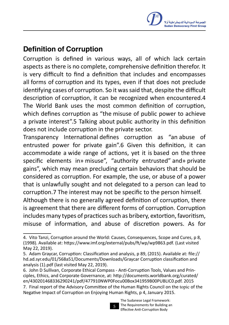# Definition of Corruption

Corruption is defined in various ways, all of which lack certain aspects as there is no complete, comprehensive definition therefor. It is very difficult to find a definition that includes and encompasses all forms of corruption and its types, even if that does not preclude identifying cases of corruption. So it was said that, despite the difficult description of corruption, it can be recognized when encountered.4 The World Bank uses the most common definition of corruption, which defines corruption as "the misuse of public power to achieve a private interest".5 Talking about public authority in this definition does not include corruption in the private sector.

Transparency International defines corruption as "an abuse of entrusted power for private gain".6 Given this definition, it can accommodate a wide range of actions, yet it is based on the three specific elements in» misuse", "authority entrusted" and» private gains", which may mean precluding certain behaviors that should be considered as corruption. For example, the use, or abuse of a power that is unlawfully sought and not delegated to a person can lead to corruption.7 The interest may not be specific to the person himself. Although there is no generally agreed definition of corruption, there is agreement that there are different forms of corruption. Corruption includes many types of practices such as bribery, extortion, favoritism, misuse of information, and abuse of discretion powers. As for

<sup>7</sup>. Final report of the Advisory Committee of the Human Rights Council on the topic of the Negative Impact of Corruption on Enjoying Human Rights, p 4, January 2015.



<sup>4</sup>. Vito Tanzi, Corruption around the World: Causes, Consequences, Scope and Cures, p 8, (1998). Available at: https://www.imf.org/external/pubs/ft/wp/wp9863.pdf. (Last visited May 22, 2019).

<sup>5</sup>. Adam Graycar, Corruption: Classification and analysis, p 89, (2015). Available at: file:// hd.ad.syr.edu/01/568a51/Documents/Downloads/Graycar Corruption classification and analysis (1).pdf (last visited May 22, 2019).

<sup>6</sup>. John D Sullivan, Corporate Ethical Compass - Anti-Corruption Tools, Values and Principles, Ethics, and Corporate Governance, at: http://documents.worldbank.org/curated/ en/430201468336290241/pdf/477910NWP0Focu00Box341959B00PUBLIC0.pdf. 2015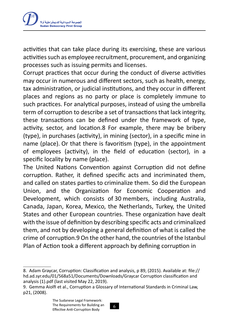

activities that can take place during its exercising, these are various activities such as employee recruitment, procurement, and organizing processes such as issuing permits and licenses.

Corrupt practices that occur during the conduct of diverse activities may occur in numerous and different sectors, such as health, energy, tax administration, or judicial institutions, and they occur in different places and regions as no party or place is completely immune to such practices. For analytical purposes, instead of using the umbrella term of corruption to describe a set of transactions that lack integrity, these transactions can be defined under the framework of type, activity, sector, and location.8 For example, there may be bribery (type), in purchases (activity), in mining (sector), in a specific mine in name (place). Or that there is favoritism (type), in the appointment of employees (activity), in the field of education (sector), in a specific locality by name (place).

The United Nations Convention against Corruption did not define corruption. Rather, it defined specific acts and incriminated them, and called on states parties to criminalize them. So did the European Union, and the Organization for Economic Cooperation and Development, which consists of 30 members, including Australia, Canada, Japan, Korea, Mexico, the Netherlands, Turkey, the United States and other European countries. These organization have dealt with the issue of definition by describing specific acts and criminalized them, and not by developing a general definition of what is called the crime of corruption.9 On the other hand, the countries of the Istanbul Plan of Action took a different approach by defining corruption in



<sup>8.</sup> Adam Graycar, Corruption: Classification and analysis, p 89, (2015). Available at: file:// hd.ad.syr.edu/01/568a51/Documents/Downloads/Graycar Corruption classification and analysis (1).pdf (last visited May 22, 2019).

<sup>9</sup>. Gemma Aiolfi et al., Corruption a Glossary of International Standards in Criminal Law, p21, (2008).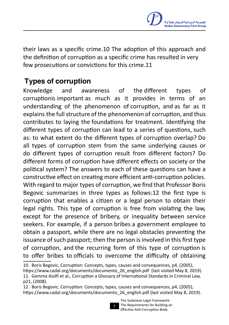

their laws as a specific crime.10 The adoption of this approach and the definition of corruption as a specific crime has resulted in very few prosecutions or convictions for this crime.11

# Types of corruption

Knowledge and awareness of the different types of corruptionis important as much as it provides in terms of an understanding of the phenomenon of corruption, and as far as it explains the full structure of the phenomenon of corruption, and thus contributes to laying the foundations for treatment. Identifying the different types of corruption can lead to a series of questions, such as: to what extent do the different types of corruption overlap? Do all types of corruption stem from the same underlying causes or do different types of corruption result from different factors? Do different forms of corruption have different effects on society or the political system? The answers to each of these questions can have a constructive effect on creating more efficient anti-corruption policies. With regard to major types of corruption, we find that Professor Boris Begovic summarizes in three types as follows:12 the first type is corruption that enables a citizen or a legal person to obtain their legal rights. This type of corruption is free from violating the law, except for the presence of bribery, or inequality between service seekers. For example, if a person bribes a government employee to obtain a passport, while there are no legal obstacles preventing the issuance of such passport; then the person is involved in this first type of corruption, and the recurring form of this type of corruption is to offer bribes to officials to overcome the difficulty of obtaining

<sup>12</sup>. Boris Begovic, Corruption: Concepts, types, causes and consequences, p4, (2005), https://www.cadal.org/documents/documento\_26\_english.pdf (last visited May 8, 2019).



<sup>10.</sup> Boris Begovic, Corruption: Concepts, types, causes and consequences, p4, (2005),

https://www.cadal.org/documents/documento\_26\_english.pdf (last visited May 8, 2019). 11. Gemma Aiolfi et al., Corruption a Glossary of International Standards in Criminal Law, p21, (2008).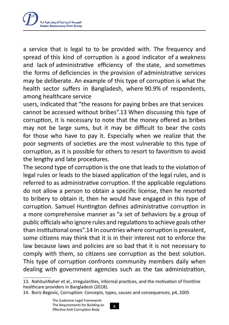

a service that is legal to to be provided with. The frequency and spread of this kind of corruption is a good indicator of a weakness and lack of administrative efficiency of the state, and sometimes the forms of deficiencies in the provision of administrative services may be deliberate. An example of this type of corruption is what the health sector suffers in Bangladesh, where 90.9% of respondents, among healthcare service

users, indicated that "the reasons for paying bribes are that services cannot be accessed without bribes".13 When discussing this type of corruption, it is necessary to note that the money offered as bribes may not be large sums, but it may be difficult to bear the costs for those who have to pay it. Especially when we realize that the poor segments of societies are the most vulnerable to this type of corruption, as it is possible for others to resort to favoritism to avoid the lengthy and late procedures.

The second type of corruption is the one that leads to the violation of legal rules or leads to the biased application of the legal rules, and is referred to as administrative corruption. If the applicable regulations do not allow a person to obtain a specific license, then he resorted to bribery to obtain it, then he would have engaged in this type of corruption. Samuel Huntington defines administrative corruption in a more comprehensive manner as "a set of behaviors by a group of public officials who ignore rules and regulationsto achieve goals other than institutional ones".14 In countries where corruption is prevalent, some citizens may think that it is in their interest not to enforce the law because laws and policies are so bad that it is not necessary to comply with them, so citizens see corruption as the best solution. This type of corruption confronts community members daily when dealing with government agencies such as the tax administration,

<sup>13</sup>. NahitunNaher et al., Irregularities, informal practices, and the motivation of frontline healthcare providers in Bangladesh (2018).

<sup>14</sup>. Boris Begovic, Corruption: Concepts, types, causes and consequences, p4, 2005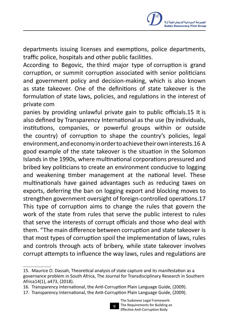departments issuing licenses and exemptions, police departments, traffic police, hospitals and other public facilities.

According to Begovic, the third major type of corruption is grand corruption, or summit corruption associated with senior politicians and government policy and decision-making, which is also known as state takeover. One of the definitions of state takeover is the formulation of state laws, policies, and regulations in the interest of private com

panies by providing unlawful private gain to public officials.15 It is also defined by Transparency International as the use (by individuals, institutions, companies, or powerful groups within or outside the country) of corruption to shape the country's policies, legal environment,andeconomyinordertoachievetheirowninterests.16 A good example of the state takeover is the situation in the Solomon Islands in the 1990s, where multinational corporations pressured and bribed key politicians to create an environment conducive to logging and weakening timber management at the national level. These multinationals have gained advantages such as reducing taxes on exports, deferring the ban on logging export and blocking moves to strengthen government oversight of foreign-controlled operations.17 This type of corruption aims to change the rules that govern the work of the state from rules that serve the public interest to rules that serve the interests of corrupt officials and those who deal with them. "The main difference between corruption and state takeover is that most types of corruption spoil the implementation of laws, rules and controls through acts of bribery, while state takeover involves corrupt attempts to influence the way laws, rules and regulations are

<sup>17</sup>. Transparency International, the Anti-Corruption Plain Language Guide, (2009).



<sup>15</sup>. Maurice O. Dassah, Theoretical analysis of state capture and its manifestation as a governance problem in South Africa, The Journal for Transdisciplinary Research in Southern Africa14(1), a473, (2018).

<sup>16</sup>. Transparency International, the Anti-Corruption Plain Language Guide, (2009).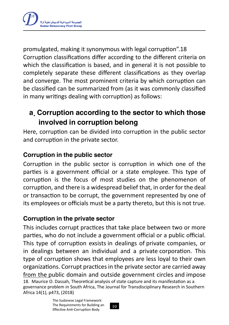

promulgated, making it synonymous with legal corruption".18 Corruption classifications differ according to the different criteria on which the classification is based, and in general it is not possible to completely separate these different classifications as they overlap and converge. The most prominent criteria by which corruption can be classified can be summarized from (as it was commonly classified in many writings dealing with corruption) as follows:

# a. Corruption according to the sector to which those involved in corruption belong

Here, corruption can be divided into corruption in the public sector and corruption in the private sector.

#### Corruption in the public sector

Corruption in the public sector is corruption in which one of the parties is a government official or a state employee. This type of corruption is the focus of most studies on the phenomenon of corruption, and there is a widespread belief that, in order for the deal or transaction to be corrupt, the government represented by one of its employees or officials must be a party thereto, but this is not true.

#### Corruption in the private sector

This includes corrupt practices that take place between two or more parties, who do not include a government official or a public official. This type of corruption exsists in dealings of private companies, or in dealings between an individual and a private corporation. This type of corruption shows that employees are less loyal to their own organizations. Corrupt practices in the private sector are carried away from the public domain and outside government circles and impose 18. Maurice O. Dassah, Theoretical analysis of state capture and its manifestation as a governance problem in South Africa, The Journal for Transdisciplinary Research in Southern Africa 14(1), p473, (2018)

> The Sudanese Legal Framework: The Requirements for Building an Effective Anti-Corruption Body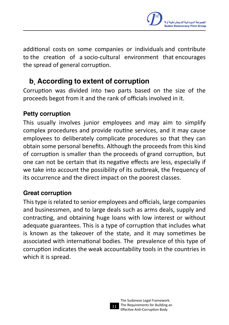

additional costs on some companies or individuals and contribute to the creation of a socio-cultural environment that encourages the spread of general corruption.

#### b. According to extent of corruption

Corruption was divided into two parts based on the size of the proceeds begot from it and the rank of officials involved in it.

#### Petty corruption

This usually involves junior employees and may aim to simplify complex procedures and provide routine services, and it may cause employees to deliberately complicate procedures so that they can obtain some personal benefits. Although the proceeds from this kind of corruption is smaller than the proceeds of grand corruption, but one can not be certain that its negative effects are less, especially if we take into account the possibility of its outbreak, the frequency of its occurrence and the direct impact on the poorest classes.

#### Great corruption

Thistype isrelated to senior employees and officials, large companies and businessmen, and to large deals such as arms deals, supply and contracting, and obtaining huge loans with low interest or without adequate guarantees. This is a type of corruption that includes what is known as the takeover of the state, and it may sometimes be associated with international bodies. The prevalence of this type of corruption indicates the weak accountability tools in the countries in which it is spread.

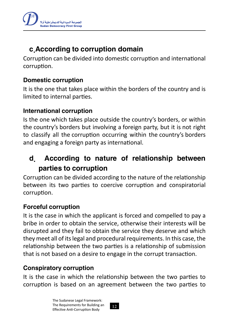

# c.According to corruption domain

Corruption can be divided into domestic corruption and international corruption.

#### Domestic corruption

It is the one that takes place within the borders of the country and is limited to internal parties.

#### International corruption

Is the one which takes place outside the country's borders, or within the country's borders but involving a foreign party, but it is not right to classify all the corruption occurring within the country's borders and engaging a foreign party as international.

### d. According to nature of relationship between parties to corruption

Corruption can be divided according to the nature of the relationship between its two parties to coercive corruption and conspiratorial corruption.

#### Forceful corruption

It is the case in which the applicant is forced and compelled to pay a bribe in order to obtain the service, otherwise their interests will be disrupted and they fail to obtain the service they deserve and which they meet all of its legal and procedural requirements. In this case, the relationship between the two parties is a relationship of submission that is not based on a desire to engage in the corrupt transaction.

#### Conspiratory corruption

It is the case in which the relationship between the two parties to corruption is based on an agreement between the two parties to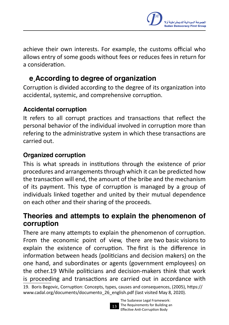

achieve their own interests. For example, the customs official who allows entry of some goods without fees or reduces fees in return for a consideration.

### e.According to degree of organization

Corruption is divided according to the degree of its organization into accidental, systemic, and comprehensive corruption.

#### Accidental corruption

It refers to all corrupt practices and transactions that reflect the personal behavior of the individual involved in corruption more than refering to the administrative system in which these transactions are carried out.

#### Organized corruption

This is what spreads in institutions through the existence of prior procedures and arrangements through which it can be predicted how the transaction will end, the amount of the bribe and the mechanism of its payment. This type of corruption is managed by a group of individuals linked together and united by their mutual dependence on each other and their sharing of the proceeds.

#### Theories and attempts to explain the phenomenon of corruption

There are many attempts to explain the phenomenon of corruption. From the economic point of view, there are two basic visions to explain the existence of corruption. The first is the difference in information between heads (politicians and decision makers) on the one hand, and subordinates or agents (government employees) on the other.19 While politicians and decision-makers think that work is proceeding and transactions are carried out in accordance with

<sup>19</sup>. Boris Begovic, Corruption: Concepts, types, causes and consequences, (2005), https:// www.cadal.org/documents/documento\_26\_english.pdf (last visited May 8, 2020).

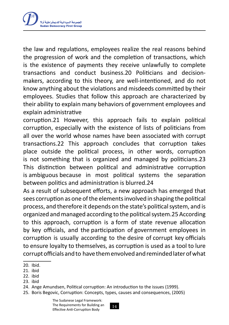

the law and regulations, employees realize the real reasons behind the progression of work and the completion of transactions, which is the existence of payments they receive unlawfully to complete transactions and conduct business.20 Politicians and decisionmakers, according to this theory, are well-intentioned, and do not know anything about the violations and misdeeds committed by their employees. Studies that follow this approach are characterized by their ability to explain many behaviors of government employees and explain administrative

corruption.21 However, this approach fails to explain political corruption, especially with the existence of lists of politicians from all over the world whose names have been associated with corrupt transactions.22 This approach concludes that corruption takes place outside the political process, in other words, corruption is not something that is organized and managed by politicians.23 This distinction between political and administrative corruption is ambiguous because in most political systems the separation between politics and administration is blurred.24

As a result of subsequent efforts, a new approach has emerged that sees corruption as one of the elements involved in shaping the political process, and therefore it depends on the state's political system, and is organized and managed according to the political system.25 According to this approach, corruption is a form of state revenue allocation by key officials, and the participation of government employees in corruption is usually according to the desire of corrupt key officials to ensure loyalty to themselves, as corruption is used as a tool to lure corrupt officials and to have them envolved and reminded later of what

23. ibid

<sup>20.</sup> Ibid.

<sup>21</sup>. ibid

<sup>22</sup>. ibid

<sup>24</sup>. Ange Amundsen, Political corruption: An introduction to the issues (1999).

<sup>25</sup>. Boris Begovic, Corruption: Concepts, types, causes and consequences, (2005)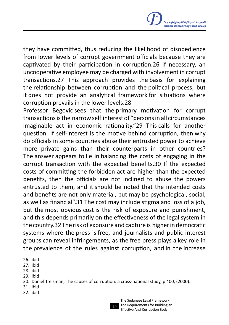

they have committed, thus reducing the likelihood of disobedience from lower levels of corrupt government officials because they are captivated by their participation in corruption.26 If necessary, an uncooperative employee may be charged with involvement in corrupt transactions.27 This approach provides the basis for explaining the relationship between corruption and the political process, but it does not provide an analytical framework for situations where corruption prevails in the lower levels.28

Professor Begovic sees that the primary motivation for corrupt transactions is the narrow self interest of "persons in all circumstances imaginable act in economic rationality."29 This calls for another question. If self-interest is the motive behind corruption, then why do officials in some countries abuse their entrusted power to achieve more private gains than their counterparts in other countries? The answer appears to lie in balancing the costs of engaging in the corrupt transaction with the expected benefits.30 If the expected costs of committing the forbidden act are higher than the expected benefits, then the officials are not inclined to abuse the powers entrusted to them, and it should be noted that the intended costs and benefits are not only material, but may be psychological, social, as well as financial".31 The cost may include stigma and loss of a job, but the most obvious cost is the risk of exposure and punishment, and this depends primarily on the effectiveness of the legal system in the country.32 The risk of exposure and capture is higherin democratic systems where the press is free, and journalists and public interest groups can reveal infringements, as the free press plays a key role in the prevalence of the rules against corruption, and in the increase

- 31. ibid
- 32. ibid

<sup>26</sup>. ibid

<sup>27</sup>. ibid

<sup>28</sup>. ibid

<sup>29</sup>. ibid

<sup>30.</sup> Daniel Treisman, The causes of corruption: a cross-national study, p 400, (2000).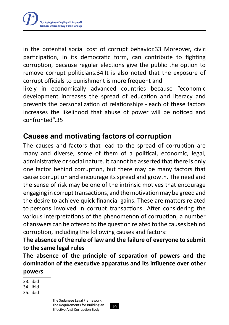

in the potential social cost of corrupt behavior.33 Moreover, civic participation, in its democratic form, can contribute to fighting corruption, because regular elections give the public the option to remove corrupt politicians.34 It is also noted that the exposure of corrupt officials to punishment is more frequent and

likely in economically advanced countries because "economic development increases the spread of education and literacy and prevents the personalization of relationships - each of these factors increases the likelihood that abuse of power will be noticed and confronted".35

#### Causes and motivating factors of corruption

The causes and factors that lead to the spread of corruption are many and diverse, some of them of a political, economic, legal, administrative orsocial nature. It cannot be asserted that there is only one factor behind corruption, but there may be many factors that cause corruption and encourage its spread and growth. The need and the sense of risk may be one of the intrinsic motives that encourage engaging in corrupt transactions, and the motivation may be greed and the desire to achieve quick financial gains. These are matters related to persons involved in corrupt transactions. After considering the various interpretations of the phenomenon of corruption, a number of answers can be offered to the question related to the causes behind corruption, including the following causes and factors:

**The absence of the rule of law and the failure of everyone to submit to the same legal rules**

**The absence of the principle of separation of powers and the domination of the executive apparatus and its influence over other powers**

<sup>33</sup>. ibid

<sup>34</sup>. ibid

<sup>35</sup>. ibid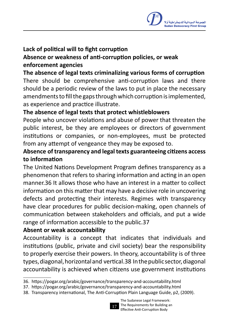#### **Lack of political will to fight corruption**

#### **Absence or weakness of anti-corruption policies, or weak enforcement agencies**

**The absence of legal texts criminalizing various forms of corruption** There should be comprehensive anti-corruption laws and there should be a periodic review of the laws to put in place the necessary amendments to fill the gaps through which corruption is implemented, as experience and practice illustrate.

#### **The absence of legal texts that protect whistleblowers**

People who uncover violations and abuse of power that threaten the public interest, be they are employees or directors of government institutions or companies, or non-employees, must be protected from any attempt of vengeance they may be exposed to.

#### **Absence of transparency and legal texts guaranteeing citizens access to information**

The United Nations Development Program defines transparency as a phenomenon that refers to sharing information and acting in an open manner.36 It allows those who have an interest in a matter to collect information on this matter that may have a decisive role in uncovering defects and protecting their interests. Regimes with transparency have clear procedures for public decision-making, open channels of communication between stakeholders and officials, and put a wide range of information accessible to the public.37

#### **Absent or weak accountability**

Accountability is a concept that indicates that individuals and institutions (public, private and civil society) bear the responsibility to properly exercise their powers. In theory, accountability is of three types,diagonal,horizontaland vertical.38 Inthepublicsector,diagonal accountability is achieved when citizens use government institutions

<sup>38</sup>. Transparency international, The Anti-Corruption Plain Language Guide, p2, (2009).



<sup>36</sup>. https://pogar.org/arabic/governance/transparency-and-accountability.html

<sup>37</sup>. https://pogar.org/arabic/governance/transparency-and-accountability.html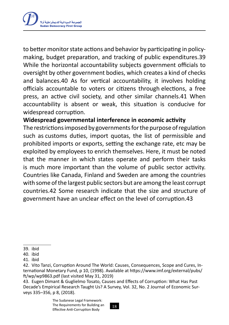

to better monitor state actions and behavior by participating in policymaking, budget preparation, and tracking of public expenditures.39 While the horizontal accountability subjects government officials to oversight by other government bodies, which creates a kind of checks and balances.40 As for vertical accountability, it involves holding officials accountable to voters or citizens through elections, a free press, an active civil society, and other similar channels.41 When accountability is absent or weak, this situation is conducive for widespread corruption.

#### **Widespread governmental interference in economic activity**

The restrictions imposed by governments for the purpose of regulation such as customs duties, import quotas, the list of permissible and prohibited imports or exports, setting the exchange rate, etc may be exploited by employees to enrich themselves. Here, it must be noted that the manner in which states operate and perform their tasks is much more important than the volume of public sector activity. Countries like Canada, Finland and Sweden are among the countries with some of the largest public sectors but are among the least corrupt countries.42 Some research indicate that the size and structure of government have an unclear effect on the level of corruption.43

<sup>39</sup>. ibid

<sup>40.</sup> ibid

<sup>41</sup>. ibid

<sup>42</sup>. Vito Tanzi, Corruption Around The World: Causes, Consequences, Scope and Cures, International Monetary Fund, p 10, (1998). Available at https://www.imf.org/external/pubs/ ft/wp/wp9863.pdf (last visited May 31, 2019)

<sup>43</sup>. Eugen Dimant & Guglielmo Tosato, Causes and Effects of Corruption: What Has Past Decade's Empirical Research Taught Us? A Survey, Vol. 32, No. 2 Journal of Economic Surveys 335–356, p 8, (2018).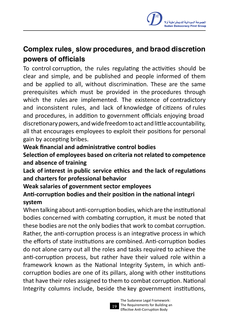# Complex rules, slow procedures, and braod discretion powers of officials

To control corruption, the rules regulating the activities should be clear and simple, and be published and people informed of them and be applied to all, without discrimination. These are the same prerequisites which must be provided in the procedures through which the rules are implemented. The existence of contradictory and inconsistent rules, and lack of knowledge of citizens of rules and procedures, in addition to government officials enjoying broad discretionarypowers,andwidefreedomtoactandlittleaccountability, all that encourages employees to exploit their positions for personal gain by accepting bribes.

#### **Weak financial and administrative control bodies**

**Selection of employees based on criteria not related to competence and absence of training**

**Lack of interest in public service ethics and the lack of regulations and charters for professional behavior**

**Weak salaries of government sector employees**

#### **Anti-corruption bodies and their position in the national integri system**

When talking about anti-corruption bodies, which are the institutional bodies concerned with combating corruption, it must be noted that these bodies are not the only bodies that work to combat corruption. Rather, the anti-corruption process is an integrative process in which the efforts of state institutions are combined. Anti-corruption bodies do not alone carry out all the roles and tasks required to achieve the anti-corruption process, but rather have their valued role within a framework known as the National Integrity System, in which anticorruption bodies are one of its pillars, along with other institutions that have their roles assigned to them to combat corruption. National Integrity columns include, beside the key government institutions,

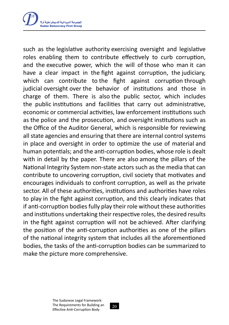

such as the legislative authority exercising oversight and legislative roles enabling them to contribute effectively to curb corruption, and the executive power, which the will of those who man it can have a clear impact in the fight against corruption, the judiciary, which can contribute to the fight against corruption through judicial oversight over the behavior of institutions and those in charge of them. There is also the public sector, which includes the public institutions and facilities that carry out administrative, economic or commercial activities, law enforcement institutions such as the police and the prosecution, and oversight institutions such as the Office of the Auditor General, which is responsible for reviewing all state agencies and ensuring that there are internal control systems in place and oversight in order to optimize the use of material and human potentials; and the anti-corruption bodies, whose role is dealt with in detail by the paper. There are also among the pillars of the National Integrity System non-state actors such as the media that can contribute to uncovering corruption, civil society that motivates and encourages individuals to confront corruption, as well as the private sector. All of these authorities, institutions and authorities have roles to play in the fight against corruption, and this clearly indicates that if anti-corruption bodies fully play their role without these authorities and institutions undertaking their respective roles, the desired results in the fight against corruption will not be achieved. After clarifying the position of the anti-corruption authorities as one of the pillars of the national integrity system that includes all the aforementioned bodies, the tasks of the anti-corruption bodies can be summarized to make the picture more comprehensive.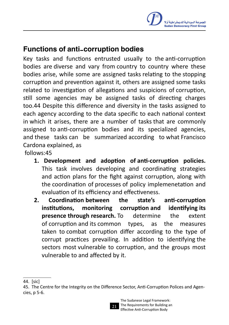

#### Functions of anti-corruption bodies

Key tasks and functions entrusted usually to the anti-corruption bodies are diverse and vary from country to country where these bodies arise, while some are assigned tasks relating to the stopping corruption and prevention against it, others are assigned some tasks related to investigation of allegations and suspicions of corruption, still some agencies may be assigned tasks of directing charges too.44 Despite this difference and diversity in the tasks assigned to each agency according to the data specific to each national context in which it arises, there are a number of tasks that are commonly assigned to anti-corruption bodies and its specialized agencies, and these tasks can be summarized according to what Francisco Cardona explained, as

follows:45

- **1. Development and adoption of anti-corruption policies.** This task involves developing and coordinating strategies and action plans for the fight against corruption, along with the coordination of processes of policy implemenetation and evaluation of its efficiency and effectiveness.
- **2. Coordination between the state's anti-corruption institutions, monitoring corruption and identifying its presence through research.** To determine the extent of corruption and its common types, as the measures taken to combat corruption differ according to the type of corrupt practices prevailing. In addition to identifying the sectors most vulnerable to corruption, and the groups most vulnerable to and affected by it.

<sup>45</sup>. The Centre for the Integrity on the Difference Sector, Anti-Corruption Polices and Agencies, p 5-6.



<sup>44</sup>. [sic]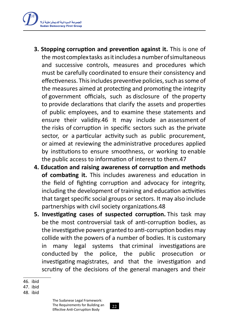

- **3. Stopping corruption and prevention against it.** This is one of the most complex tasks asitincludesa numberofsimultaneous and successive controls, measures and procedures which must be carefully coordinated to ensure their consistency and effectiveness. This includes preventive policies, such as some of the measures aimed at protecting and promoting the integrity of government officials, such as disclosure of the property to provide declarations that clarify the assets and properties of public employees, and to examine these statements and ensure their validity.46 It may include an assessment of the risks of corruption in specific sectors such as the private sector, or a particular activity such as public procurement, or aimed at reviewing the administrative procedures applied by institutions to ensure smoothness, or working to enable the public access to information of interest to them.47
- **4. Education and raising awareness of corruption and methods of combating it.** This includes awareness and education in the field of fighting corruption and advocacy for integrity, including the development of training and education activities that target specific social groups or sectors. It may also include partnerships with civil society organizations.48
- **5. Investigating cases of suspected corruption.** This task may be the most controversial task of anti-corruption bodies, as the investigative powers granted to anti-corruption bodies may collide with the powers of a number of bodies. It is customary in many legal systems that criminal investigations are conducted by the police, the public prosecution or investigating magistrates, and that the investigation and scrutiny of the decisions of the general managers and their

<sup>46</sup>. ibid

<sup>47</sup>. ibid

<sup>48</sup>. ibid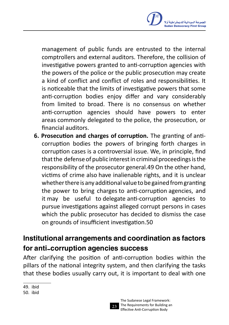

management of public funds are entrusted to the internal comptrollers and external auditors. Therefore, the collision of investigative powers granted to anti-corruption agencies with the powers of the police or the public prosecution may create a kind of conflict and conflict of roles and responsibilities. It is noticeable that the limits of investigative powers that some anti-corruption bodies enjoy differ and vary considerably from limited to broad. There is no consensus on whether anti-corruption agencies should have powers to enter areas commonly delegated to the police, the prosecution, or financial auditors.

**6. Prosecution and charges of corruption.** The granting of anticorruption bodies the powers of bringing forth charges in corruption cases is a controversial issue. We, in principle, find that the defense of public interest in criminal proceedings is the responsibility of the prosecutor general.49 On the other hand, victims of crime also have inalienable rights, and it is unclear whether there is any additional value to be gained from granting the power to bring charges to anti-corruption agencies, and it may be useful to delegate anti-corruption agencies to pursue investigations against alleged corrupt persons in cases which the public prosecutor has decided to dismiss the case on grounds of insufficient investigation.50

### Institutional arrangements and coordination as factors for anti-corruption agencies success

After clarifying the position of anti-corruption bodies within the pillars of the national integrity system, and then clarifying the tasks that these bodies usually carry out, it is important to deal with one



<sup>49</sup>. ibid

<sup>50.</sup> ibid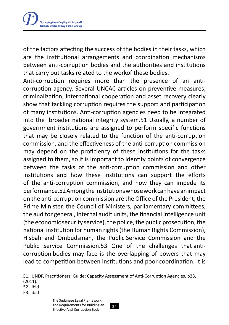

of the factors affecting the success of the bodies in their tasks, which are the institutional arrangements and coordination mechanisms between anti-corruption bodies and the authorities and institutions that carry out tasks related to the workof these bodies.

Anti-corruption requires more than the presence of an anticorruption agency. Several UNCAC articles on preventive measures, criminalization, international cooperation and asset recovery clearly show that tackling corruption requires the support and participation of many institutions. Anti-corruption agencies need to be integrated into the broader national integrity system.51 Usually, a number of government institutions are assigned to perform specific functions that may be closely related to the function of the anti-corruption commission, and the effectiveness of the anti-corruption commission may depend on the proficiency of these institutions for the tasks assigned to them, so it is important to identify points of convergence between the tasks of the anti-corruption commission and other institutions and how these institutions can support the efforts of the anti-corruption commission, and how they can impede its performance.52Amongtheinstitutionswhoseworkcanhaveanimpact on the anti-corruption commission are the Office of the President, the Prime Minister, the Council of Ministers, parliamentary committees, the auditor general, internal audit units, the financial intelligence unit (the economic security service), the police, the public prosecution, the national institution for human rights(the Human Rights Commission), Hisbah and Ombudsman, the Public Service Commission and the Public Service Commission.53 One of the challenges that anticorruption bodies may face is the overlapping of powers that may lead to competition between institutions and poor coordination. It is

52. ibid

53. ibid



<sup>51</sup>. UNDP, Practitioners' Guide: Capacity Assessment of Anti-Corruption Agencies, p28, (2011).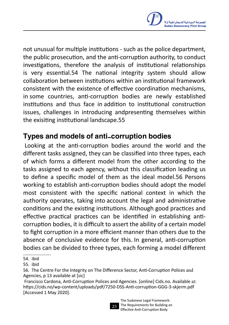not unusual for multiple institutions - such as the police department, the public prosecution, and the anti-corruption authority, to conduct investigations, therefore the analysis of institutional relationships is very essential.54 The national integrity system should allow collaboration between institutions within an institutional framework consistent with the existence of effective coordination mechanisms, in some countries, anti-corruption bodies are newly established institutions and thus face in addition to institutional construction issues, challenges in introducing andpresenting themselves within the exisiting institutional landscape.55

#### Types and models of anti-corruption bodies

 Looking at the anti-corruption bodies around the world and the different tasks assigned, they can be classified into three types, each of which forms a different model from the other according to the tasks assigned to each agency, without this classification leading us to define a specific model of them as the ideal model.56 Persons working to establish anti-corruption bodies should adopt the model most consistent with the specific national context in which the authority operates, taking into account the legal and administrative conditions and the existing institutions. Although good practices and effective practical practices can be identified in establishing anticorruption bodies, it is difficult to assert the ability of a certain model to fight corruption in a more efficient manner than others due to the absence of conclusive evidence for this. In general, anti-corruption bodies can be divided to three types, each forming a model different

Francisco Cardona, Anti-Corruption Polices and Agencies. [online] Cids.no. Available at: https://cids.no/wp-content/uploads/pdf/7250-DSS-Anti-corruption-GGG-3-skjerm.pdf [Accessed 1 May 2020].



<sup>54</sup>. ibid

<sup>55</sup>. ibid

<sup>56</sup>. The Centre For the Integrity on The Difference Sector, Anti-Corruption Polices and Agencies, p 13 available at [sic]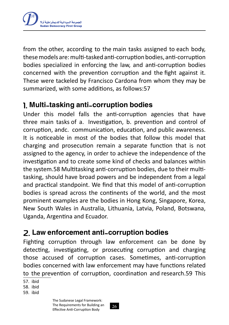

from the other, according to the main tasks assigned to each body, these models are: multi-tasked anti-corruption bodies, anti-corruption bodies specialized in enforcing the law, and anti-corruption bodies concerned with the prevention corruption and the fight against it. These were tackeled by Francisco Cardona from whom they may be summarized, with some additions, as follows:57

#### 1. Multi-tasking anti-corruption bodies

Under this model falls the anti-corruption agencies that have three main tasks of a. Investigation, b. prevention and control of corruption, andc. communication, education, and public awareness. It is noticeable in most of the bodies that follow this model that charging and prosecution remain a separate function that is not assigned to the agency, in order to achieve the independence of the investigation and to create some kind of checks and balances within the system.58 Multitasking anti-corruption bodies, due to their multitasking, should have broad powers and be independent from a legal and practical standpoint. We find that this model of anti-corruption bodies is spread across the continents of the world, and the most prominent examples are the bodies in Hong Kong, Singapore, Korea, New South Wales in Australia, Lithuania, Latvia, Poland, Botswana, Uganda, Argentina and Ecuador.

### 2. Law enforcement anti-corruption bodies

Fighting corruption through law enforcement can be done by detecting, investigating, or prosecuting corruption and charging those accused of corruption cases. Sometimes, anti-corruption bodies concerned with law enforcement may have functions related to the prevention of corruption, coordination and research.59 This

57. ibid

58. ibid

59. ibid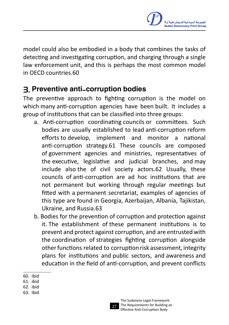

model could also be embodied in a body that combines the tasks of detecting and investigating corruption, and charging through a single law enforcement unit, and this is perhaps the most common model in OECD countries.60

### 3. Preventive anti-corruption bodies

The preventive approach to fighting corruption is the model on which many anti-corruption agencies have been built. It includes a group of institutions that can be classified into three groups:

- a. Anti-corruption coordinating councils or committees. Such bodies are usually established to lead anti-corruption reform efforts to develop, implement and monitor a national anti-corruption strategy.61 These councils are composed of government agencies and ministries, representatives of the executive, legislative and judicial branches, and may include also the of civil society actors.62 Usually, these councils of anti-corruption are ad hoc institutions that are not permanent but working through regular meetings but fitted with a permanent secretariat, examples of agencies of this type are found in Georgia, Azerbaijan, Albania, Tajikistan, Ukraine, and Russia.63
- b. Bodies for the prevention of corruption and protection against it. The establishment of these permanent institutions is to prevent and protect against corruption, and are entrusted with the coordination of strategies fighting corruption alongside otherfunctions related to corruption risk assessment, integrity plans for institutions and public sectors, and awareness and education in the field of anti-corruption, and prevent conflicts

<sup>60.</sup> ibid

<sup>61</sup>. ibid

<sup>62</sup>. ibid

<sup>63</sup>. ibid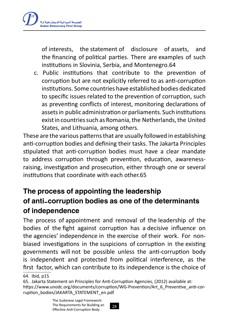

of interests, the statement of disclosure of assets, and the financing of political parties. There are examples of such institutions in Slovinia, Serbia, and Montenegro.64

c. Public institutions that contribute to the prevention of corruption but are not explicitly referred to as anti-corruption institutions. Some countries have established bodies dedicated to specific issues related to the prevention of corruption, such as preventing conflicts of interest, monitoring declarations of assets in public administration or parliaments. Such institutions exist in countries such as Romania, the Netherlands, the United States, and Lithuania, among others.

These are the various patterns that are usually followed in establishing anti-corruption bodies and defining their tasks. The Jakarta Principles stipulated that anti-corruption bodies must have a clear mandate to address corruption through prevention, education, awarenessraising, investigation and prosecution, either through one or several institutions that coordinate with each other.65

# The process of appointing the leadership of anti-corruption bodies as one of the determinants of independence

The process of appointment and removal of the leadership of the bodies of the fight against corruption has a decisive influence on the agencies' independence in the exercise of their work. For nonbiased investigations in the suspicions of corruption in the existing governments will not be possible unless the anti-corruption body is independent and protected from political interference, as the first factor, which can contribute to its independence is the choice of

<sup>64</sup>. Ibid, p15

<sup>65</sup>. Jakarta Statement on Principles for Anti-Corruption Agencies, (2012) available at: https://www.unodc.org/documents/corruption/WG-Prevention/Art\_6\_Preventive\_anti-corruption\_bodies/JAKARTA\_STATEMENT\_en.pdf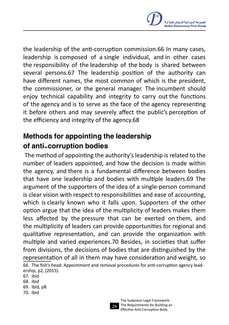

the leadership of the anti-corruption commission.66 In many cases, leadership is composed of a single individual, and in other cases the responsibility of the leadership of the body is shared between several persons.67 The leadership position of the authority can have different names, the most common of which is the president, the commissioner, or the general manager. The incumbent should enjoy technical capability and integrity to carry out the functions of the agency and is to serve as the face of the agency representing it before others and may severely affect the public's perception of the efficiency and integrity of the agency.68

### Methods for appointing the leadership of anti-corruption bodies

 The method of appointing the authority's leadership is related to the number of leaders appointed, and how the decision is made within the agency, and there is a fundamental difference between bodies that have one leadership and bodies with multiple leaders.69 The argument of the supporters of the idea of a single-person command is clear vision with respect to responsibilities and ease of accounting, which is clearly known who it falls upon. Supporters of the other option argue that the idea of the multiplicity of leaders makes them less affected by the pressure that can be exerted on them, and the multiplicity of leaders can provide opportunities for regional and qualitative representation, and can provide the organization with multiple and varied experiences.70 Besides, in societies that suffer from divisions, the decisions of bodies that are distinguished by the representation of all in them may have consideration and weight, so 66. The fish's head: Appointment and removal procedures for anti-corruption agency leadership, p2, (2015).

67. ibid 68. ibid 69. ibid, p8 70. ibid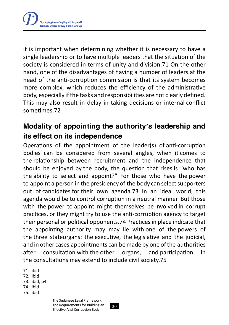

it is important when determining whether it is necessary to have a single leadership or to have multiple leaders that the situation of the society is considered in terms of unity and division.71 On the other hand, one of the disadvantages of having a number of leaders at the head of the anti-corruption commission is that its system becomes more complex, which reduces the efficiency of the administrative body, especially ifthe tasks and responsibilities are not clearly defined. This may also result in delay in taking decisions or internal conflict sometimes.72

### Modality of appointing the authority's leadership and its effect on its independence

Operations of the appointment of the leader(s) of anti-corruption bodies can be considered from several angles, when it comes to the relationship between recruitment and the independence that should be enjoyed by the body, the question that rises is "who has the ability to select and appoint?" For those who have the power to appoint a person in the presidency of the body can select supporters out of candidates for their own agenda.73 In an ideal world, this agenda would be to control corruption in a neutral manner. But those with the power to appoint might themselves be involved in corrupt practices, or they might try to use the anti-corruption agency to target their personal or political opponents.74 Practicesin place indicate that the appointing authority may may lie with one of the powers of the three stateorgans: the executive, the legislative and the judicial, and in other cases appointments can be made by one of the authorities after consultation with the other organs, and participation in the consultations may extend to include civil society.75

74. ibid

<sup>71</sup>. ibid

<sup>72</sup>. ibid

<sup>73</sup>. ibid, p4

<sup>75</sup>. ibid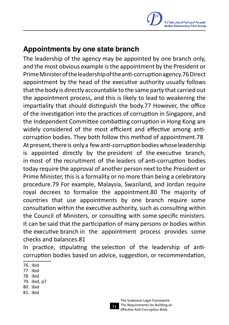

#### Appointments by one state branch

The leadership of the agency may be appointed by one branch only, and the most obvious example isthe appointment by the President or PrimeMinisteroftheleadershipoftheanti-corruptionagency.76Direct appointment by the head of the executive authority usually follows that the body is directly accountable to the same party that carried out the appointment process, and this is likely to lead to weakening the impartiality that should distinguish the body.77 However, the office of the investigation into the practices of corruption in Singapore, and the Independent Committee combatting corruption in Hong Kong are widely considered of the most efficient and effective among anticorruption bodies. They both follow this method of appointment.78 At present, there is only a few anti-corruption bodies whose leadership is appointed directly by the president of the executive branch, in most of the recruitment of the leaders of anti-corruption bodies today require the approval of another person next to the President or Prime Minister, this is a formality or no more than being a celebratory procedure.79 For example, Malaysia, Swaziland, and Jordan require royal decrees to formalize the appointment.80 The majority of countries that use appointments by one branch require some consultation within the executive authority, such as consulting within the Council of Ministers, or consulting with some specific ministers. It can be said that the participation of many persons or bodies within the executive branch in the appointment process provides some checks and balances.81

In practice, stipulating the selection of the leadership of anticorruption bodies based on advice, suggestion, or recommendation,

- 77. ibid
- 78. ibid
- 79. ibid, p7
- 80. ibid
- 81. ibid

<sup>76</sup>. ibid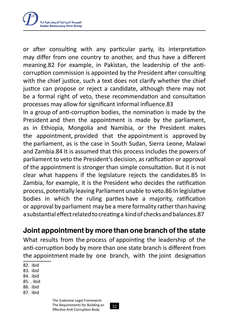

or after consulting with any particular party, its interpretation may differ from one country to another, and thus have a different meaning.82 For example, in Pakistan, the leadership of the anticorruption commission is appointed by the President after consulting with the chief justice, such a text does not clarify whether the chief justice can propose or reject a candidate, although there may not be a formal right of veto, these recommendation and consultation processes may allow for significant informal influence.83

In a group of anti-corruption bodies, the nomination is made by the President and then the appointment is made by the parliament, as in Ethiopia, Mongolia and Namibia, or the President makes the appointment, provided that the appointment is approved by the parliament, as is the case in South Sudan, Sierra Leone, Malawi and Zambia.84 It is assumed that this process includes the powers of parliament to veto the President's decision, as ratification or approval of the appointment is stronger than simple consultation. But it is not clear what happens if the legislature rejects the candidates.85 In Zambia, for example, it is the President who decides the ratification process, potentially leaving Parliament unable to veto.86 In legislative bodies in which the ruling parties have a majority, ratification or approval by parliament may be a mere formality rather than having a substantial effect related to creating a kind of checks and balances.87

Joint appointment by more than one branch of the state

What results from the process of appointing the leadership of the anti-corruption body by more than one state branch is different from the appointment made by one branch, with the joint designation

82. ibid

83. ibid

84. ibid

85. . ibid

86. ibid

87. ibid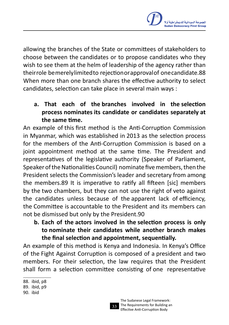

allowing the branches of the State or committees of stakeholders to choose between the candidates or to propose candidates who they wish to see them at the helm of leadership of the agency rather than theirrole bemerelylimitedto rejectionorapprovalof onecandidate.88 When more than one branch shares the effective authority to select candidates, selection can take place in several main ways :

**a. That each of the branches involved in the selection process nominates its candidate or candidates separately at the same time.**

An example of this first method is the Anti-Corruption Commission in Myanmar, which was established in 2013 as the selection process for the members of the Anti-Corruption Commission is based on a joint appointment method at the same time. The President and representatives of the legislative authority (Speaker of Parliament, Speaker of the Nationalities Council) nominate five members, then the President selects the Commission's leader and secretary from among the members.89 It is imperative to ratify all fifteen [sic] members by the two chambers, but they can not use the right of veto against the candidates unless because of the apparent lack of efficiency, the Committee is accountable to the President and its members can not be dismissed but only by the President.90

**b. Each of the actors involved in the selection process is only to nominate their candidates while another branch makes the final selection and appointment, sequentially.**

An example of this method is Kenya and Indonesia. In Kenya's Office of the Fight Against Corruption is composed of a president and two members. For their selection, the law requires that the President shall form a selection committee consisting of one representative



<sup>88</sup>. ibid, p8

<sup>89</sup>. ibid, p9

<sup>90.</sup> ibid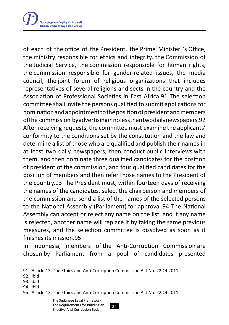

of each of the office of the President, the Prime Minister 's Office, the ministry responsible for ethics and integrity, the Commission of the Judicial Service, the commission responsible for human rights, the commission responsible for gender-related issues, the media council, the joint forum of religious organizations that includes representatives of several religions and sects in the country and the Association of Professional Societies in East Africa.91 The selection committee shall invite the persons qualified to submit applications for nominationandappointmenttothepositionofpresidentandmembers ofthe commission byadvertisinginnolessthantwodailynewspapers.92 After receiving requests, the committee must examine the applicants' conformity to the conditions set by the constitution and the law and determine a list of those who are qualified and publish their names in at least two daily newspapers, then conduct public interviews with them, and then nominate three qualified candidates for the position of president of the commission, and four qualified candidates for the position of members and then refer those names to the President of the country.93 The President must, within fourteen days of receiving the names of the candidates, select the chairperson and members of the commission and send a list of the names of the selected persons to the National Assembly (Parliament) for approval.94 The National Assembly can accept or reject any name on the list, and if any name is rejected, another name will replace it by taking the same previous measures, and the selection committee is dissolved as soon as it finishes its mission.95

In Indonesia, members of the Anti-Corruption Commission are chosen by Parliament from a pool of candidates presented

<sup>91</sup>. Article 13, The Ethics and Anti-Corruption Commission Act No. 22 Of 2011

<sup>92</sup>. ibid

<sup>93</sup>. ibid

<sup>94</sup>. ibid

<sup>95</sup>. Article 13, The Ethics and Anti-Corruption Commission Act No. 22 Of 2011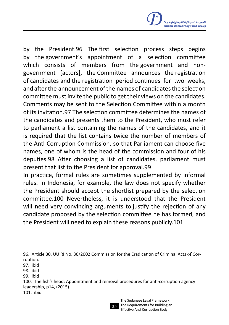

by the President.96 The first selection process steps begins by the government's appointment of a selection committee which consists of members from the government and nongovernment [actors], the Committee announces the registration of candidates and the registration period continues for two weeks, and afterthe announcement ofthe names of candidatesthe selection committee must invite the public to get their views on the candidates. Comments may be sent to the Selection Committee within a month of its invitation.97 The selection committee determines the names of the candidates and presents them to the President, who must refer to parliament a list containing the names of the candidates, and it is required that the list contains twice the number of members of the Anti-Corruption Commission, so that Parliament can choose five names, one of whom is the head of the commission and four of his deputies.98 After choosing a list of candidates, parliament must present that list to the President for approval.99

In practice, formal rules are sometimes supplemented by informal rules. In Indonesia, for example, the law does not specify whether the President should accept the shortlist prepared by the selection committee.100 Nevertheless, it is understood that the President will need very convincing arguments to justify the rejection of any candidate proposed by the selection committee he has formed, and the President will need to explain these reasons publicly.101



<sup>96</sup>. Article 30, UU RI No. 30/2002 Commission for the Eradication of Criminal Acts of Corruption.

<sup>97</sup>. ibid

<sup>98</sup>. ibid

<sup>99</sup>. ibid

<sup>100.</sup> The fish's head: Appointment and removal procedures for anti-corruption agency leadership, p14, (2015).

<sup>101.</sup> ibid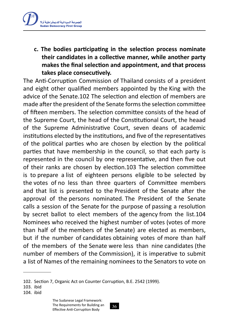

**c. The bodies participating in the selection process nominate their candidates in a collective manner, while another party makes the final selection and appointment, and that process takes place consecutively.**

The Anti-Corruption Commission of Thailand consists of a president and eight other qualified members appointed by the King with the advice of the Senate.102 The selection and election of members are made after the president of the Senate forms the selection committee of fifteen members. The selection committee consists of the head of the Supreme Court, the head of the Constitutional Court, the heaad of the Supreme Administrative Court, seven deans of academic institutions elected by the institutions, and five of the representatives of the political parties who are chosen by election by the political parties that have membership in the council, so that each party is represented in the council by one representative, and then five out of their ranks are chosen by election.103 The selection committee is to prepare a list of eighteen persons eligible to be selected by the votes of no less than three quarters of Committee members and that list is presented to the President of the Senate after the approval of the persons nominated. The President of the Senate calls a session of the Senate for the purpose of passing a resolution by secret ballot to elect members of the agency from the list.104 Nominees who received the highest number of votes (votes of more than half of the members of the Senate) are elected as members, but if the number of candidates obtaining votes of more than half of the members of the Senate were less than nine candidates (the number of members of the Commission), it is imperative to submit a list of Names of the remaining nominees to the Senators to vote on

<sup>102.</sup> Section 7, Organic Act on Counter Corruption, B.E. 2542 (1999).

<sup>103.</sup> ibid

<sup>104.</sup> ibid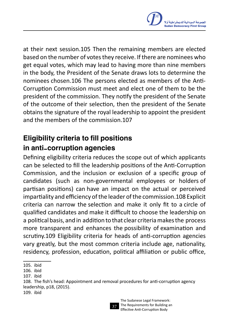

at their next session.105 Then the remaining members are elected based on the number of votes they receive. If there are nominees who get equal votes, which may lead to having more than nine members in the body, the President of the Senate draws lots to determine the nominees chosen.106 The persons elected as members of the Anti-Corruption Commission must meet and elect one of them to be the president of the commission. They notify the president of the Senate of the outcome of their selection, then the president of the Senate obtains the signature of the royal leadership to appoint the president and the members of the commission.107

# Eligibility criteria to fill positions in anti-corruption agencies

Defining eligibility criteria reduces the scope out of which applicants can be selected to fill the leadership positions of the Anti-Corruption Commission, and the inclusion or exclusion of a specific group of candidates (such as non-governmental employees or holders of partisan positions) can have an impact on the actual or perceived impartiality and efficiency of the leader of the commission.108 Explicit criteria can narrow the selection and make it only fit to a circle of qualified candidates and make it difficult to choose the leadership on a political basis, and in addition to that clear criteriamakesthe process more transparent and enhances the possibility of examination and scrutiny.109 Eligibility criteria for heads of anti-corruption agencies vary greatly, but the most common criteria include age, nationality, residency, profession, education, political affiliation or public office,



<sup>105.</sup> ibid

<sup>106.</sup> ibid

<sup>107.</sup> ibid

<sup>108.</sup> The fish's head: Appointment and removal procedures for anti-corruption agency leadership, p18, (2015).

<sup>109.</sup> ibid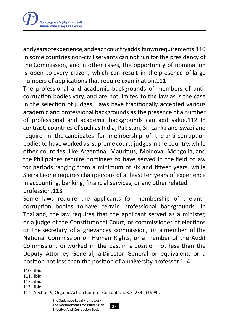

andyearsofexperience,andeachcountryaddsitsownrequirements.110 In some countries non-civil servants can not run for the presidency of the Commission, and in other cases, the opportunity of nomination is open to every citizen, which can result in the presence of large numbers of applications that require examination.111

The professional and academic backgrounds of members of anticorruption bodies vary, and are not limited to the law as is the case in the selection of judges. Laws have traditionally accepted various academic and professional backgrounds as the presence of a number of professional and academic backgrounds can add value.112 In contrast, countries of such as India, Pakistan, Sri Lanka and Swaziland require in the candidates for membership of the anti-corruption bodies to have worked as supreme courts judges in the country, while other countries like Argentina, Mauritius, Moldova, Mongolia, and the Philippines require nominees to have served in the field of law for periods ranging from a minimum of six and fifteen years, while Sierra Leone requires chairpersons of at least ten years of experience in accounting, banking, financial services, or any other related profession.113

Some laws require the applicants for membership of the anticorruption bodies to have certain professional backgrounds. In Thailand, the law requires that the applicant served as a minister, or a judge of the Constitutional Court, or commissioner of elections or the secretary of a grievances commission, or a member of the National Commission on Human Rights, or a member of the Audit Commission, or worked in the past in a position not less than the Deputy Attorney General, a Director General or equivalent, or a position not less than the position of a university professor.114

- 112. ibid
- 113. ibid
- 114. Section 9, Organic Act on Counter Corruption, B.E. 2542 (1999).

<sup>110.</sup> ibid

<sup>111</sup>. ibid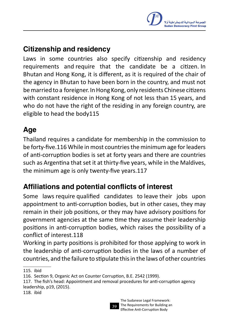# Citizenship and residency

Laws in some countries also specify citizenship and residency requirements and require that the candidate be a citizen. In Bhutan and Hong Kong, it is different, as it is required of the chair of the agency in Bhutan to have been born in the country, and must not bemarried to a foreigner. InHong Kong, only residents Chinese citizens with constant residence in Hong Kong of not less than 15 years, and who do not have the right of the residing in any foreign country, are eligible to head the body115

### Age

Thailand requires a candidate for membership in the commission to be forty-five.116 While in most countries the minimum age for leaders of anti-corruption bodies is set at forty years and there are countries such as Argentina that set it at thirty-five years, while in the Maldives, the minimum age is only twenty-five years.117

# Affiliations and potential conflicts of interest

Some laws require qualified candidates to leave their jobs upon appointment to anti-corruption bodies, but in other cases, they may remain in their job positions, or they may have advisory positions for government agencies at the same time they assume their leadership positions in anti-corruption bodies, which raises the possibility of a conflict of interest.118

Working in party positions is prohibited for those applying to work in the leadership of anti-corruption bodies in the laws of a number of countries, and the failure to stipulate thisin the laws of other countries



<sup>115</sup>. ibid

<sup>116</sup>. Section 9, Organic Act on Counter Corruption, B.E. 2542 (1999).

<sup>117</sup>. The fish's head: Appointment and removal procedures for anti-corruption agency leadership, p19, (2015).

<sup>118</sup>. ibid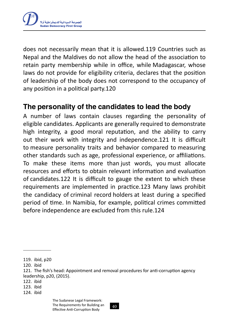

does not necessarily mean that it is allowed.119 Countries such as Nepal and the Maldives do not allow the head of the association to retain party membership while in office, while Madagascar, whose laws do not provide for eligibility criteria, declares that the position of leadership of the body does not correspond to the occupancy of any position in a political party.120

#### The personality of the candidates to lead the body

A number of laws contain clauses regarding the personality of eligible candidates. Applicants are generally required to demonstrate high integrity, a good moral reputation, and the ability to carry out their work with integrity and independence.121 It is difficult to measure personality traits and behavior compared to measuring other standards such as age, professional experience, or affiliations. To make these items more than just words, you must allocate resources and efforts to obtain relevant information and evaluation of candidates.122 It is difficult to gauge the extent to which these requirements are implemented in practice.123 Many laws prohibit the candidacy of criminal record holders at least during a specified period of time. In Namibia, for example, political crimes committed before independence are excluded from this rule.124

122. ibid

<sup>119</sup>. ibid, p20

<sup>120.</sup> ibid

<sup>121</sup>. The fish's head: Appointment and removal procedures for anti-corruption agency leadership, p20, (2015).

<sup>123</sup>. ibid

<sup>124</sup>. ibid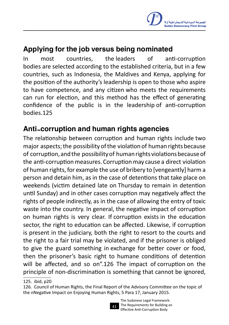### Applying for the job versus being nominated

In most countries, the leaders of anti-corruption bodies are selected according to the established criteria, but in a few countries, such as Indonesia, the Maldives and Kenya, applying for the position of the authority's leadership is open to those who aspire to have competence, and any citizen who meets the requirements can run for election, and this method has the effect of generating confidence of the public is in the leadership of anti-corruption bodies.125

### Anti-corruption and human rights agencies

The relationship between corruption and human rights include two major aspects;the possibility ofthe violation of human rights because of corruption, and the possibility of human rights violations because of the anti-corruption measures. Corruption may cause a direct violation of human rights, for example the use of bribery to [vengeantly] harm a person and detain him, as in the case of detentions that take place on weekends (victim detained late on Thursday to remain in detention until Sunday) and in other cases corruption may negatively affect the rights of people indirectly, as in the case of allowing the entry of toxic waste into the country. In general, the negative impact of corruption on human rights is very clear. If corruption exists in the education sector, the right to education can be affected. Likewise, if corruption is present in the judiciary, both the right to resort to the courts and the right to a fair trial may be violated, and if the prisoner is obliged to give the guard something in exchange for better cover or food, then the prisoner's basic right to humane conditions of detention will be affected, and so on".126 The impact of corruption on the principle of non-discrimination is something that cannot be ignored,

<sup>126</sup>. Council of Human Rights, the Final Report of the Advisory Committee on the topic of the nNegative Impact on Enjoying Human Rights, 5 Para 17, January 2015.



The Sudanese Legal Framework: The Requirements for Building an Effective Anti-Corruption Body

<sup>125</sup>. ibid, p20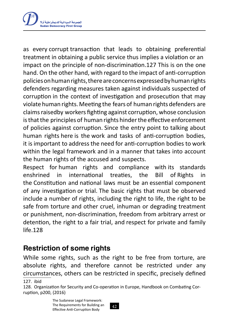

as every corrupt transaction that leads to obtaining preferential treatment in obtaining a public service thus implies a violation or an impact on the principle of non-discrimination.127 This is on the one hand. On the other hand, with regard to the impact of anti-corruption policiesonhumanrights,thereareconcernsexpressedbyhumanrights defenders regarding measures taken against individuals suspected of corruption in the context of investigation and prosecution that may violate human rights.Meeting the fears of human rights defenders are claims raisedby workers fighting against corruption, whose conclusion is that the principles of human rights hinder the effective enforcement of policies against corruption. Since the entry point to talking about human rights here is the work and tasks of anti-corruption bodies, it is important to address the need for anti-corruption bodies to work within the legal framework and in a manner that takes into account the human rights of the accused and suspects.

Respect for human rights and compliance with its standards enshrined in international treaties, the Bill of Rights in the Constitution and national laws must be an essential component of any investigation or trial. The basic rights that must be observed include a number of rights, including the right to life, the right to be safe from torture and other cruel, inhuman or degrading treatment or punishment, non-discrimination, freedom from arbitrary arrest or detention, the right to a fair trial, and respect for private and family life.128

#### Restriction of some rights

While some rights, such as the right to be free from torture, are absolute rights, and therefore cannot be restricted under any circumstances, others can be restricted in specific, precisely defined

127. ibid

<sup>128</sup>. Organization for Security and Co-operation in Europe, Handbook on Combating Corruption, p200, (2016)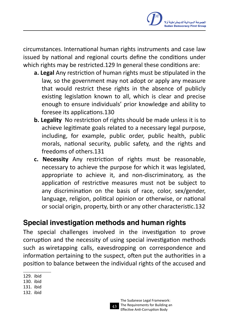circumstances. International human rights instruments and case law issued by national and regional courts define the conditions under which rights may be restricted.129 In general these conditions are:

- **a. Legal** Any restriction of human rights must be stipulated in the law, so the government may not adopt or apply any measure that would restrict these rights in the absence of publicly existing legislation known to all, which is clear and precise enough to ensure individuals' prior knowledge and ability to foresee its applications.130
- **b. Legality** No restriction of rights should be made unless it is to achieve legitimate goals related to a necessary legal purpose, including, for example, public order, public health, public morals, national security, public safety, and the rights and freedoms of others.131
- **c. Necessity** Any restriction of rights must be reasonable, necessary to achieve the purpose for which it was legislated, appropriate to achieve it, and non-discriminatory, as the application of restrictive measures must not be subject to any discrimination on the basis of race, color, sex/gender, language, religion, political opinion or otherwise, or national or social origin, property, birth or any other characteristic.132

### Special investigation methods and human rights

The special challenges involved in the investigation to prove corruption and the necessity of using special investigation methods such as wiretapping calls, eavesdropping on correspondence and information pertaining to the suspect, often put the authorities in a position to balance between the individual rights of the accused and



<sup>129</sup>. ibid

<sup>130.</sup> ibid

<sup>131</sup>. ibid

<sup>132</sup>. ibid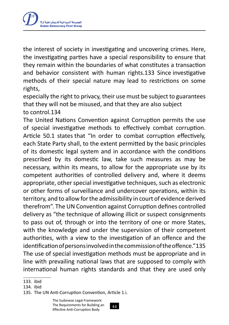

the interest of society in investigating and uncovering crimes. Here, the investigating parties have a special responsibility to ensure that they remain within the boundaries of what constitutes a transaction and behavior consistent with human rights.133 Since investigative methods of their special nature may lead to restrictions on some rights,

especially the right to privacy, their use must be subject to guarantees that they will not be misused, and that they are also subject to control.134

The United Nations Convention against Corruption permits the use of special investigative methods to effectively combat corruption. Article 50.1 states that "In order to combat corruption effectively, each State Party shall, to the extent permitted by the basic principles of its domestic legal system and in accordance with the conditions prescribed by its domestic law, take such measures as may be necessary, within its means, to allow for the appropriate use by its competent authorities of controlled delivery and, where it deems appropriate, other special investigative techniques, such as electronic or other forms of surveillance and undercover operations, within its territory, and to allow forthe admissibility in court of evidence derived therefrom". The UN Convention against Corruption defines controlled delivery as "the technique of allowing illicit or suspect consignments to pass out of, through or into the territory of one or more States, with the knowledge and under the supervision of their competent authorities, with a view to the investigation of an offence and the identificationofpersonsinvolvedinthecommissionoftheoffence."135 The use of special investigation methods must be appropriate and in line with prevailing national laws that are supposed to comply with international human rights standards and that they are used only

<sup>133</sup>. ibid

<sup>134</sup>. ibid

<sup>135</sup>. The UN Anti-Corruption Convention, Article 1.i.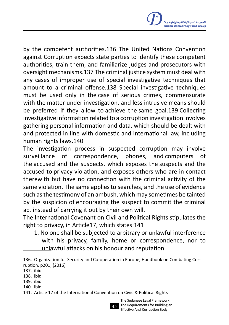

by the competent authorities.136 The United Nations Convention against Corruption expects state parties to identify these competent authorities, train them, and familiarize judges and prosecutors with oversight mechanisms.137 The criminal justice system must deal with any cases of improper use of special investigative techniques that amount to a criminal offense.138 Special investigative techniques must be used only in the case of serious crimes, commensurate with the matter under investigation, and less intrusive means should be preferred if they allow to achieve the same goal.139 Collecting investigative information related to a corruption investigation involves gathering personal information and data, which should be dealt with and protected in line with domestic and international law, including human rights laws.140

The investigation process in suspected corruption may involve surveillance of correspondence, phones, and computers of the accused and the suspects, which exposes the suspects and the accused to privacy violation, and exposes others who are in contact therewith but have no connection with the criminal activity of the same violation. The same applies to searches, and the use of evidence such asthe testimony of an ambush, which may sometimes be tainted by the suspicion of encouraging the suspect to commit the criminal act instead of carrying it out by their own will.

The International Covenant on Civil and Political Rights stipulates the right to privacy, in Article17, which states:141

1. No one shall be subjected to arbitrary or unlawful interference with his privacy, family, home or correspondence, nor to unlawful attacks on his honour and reputation.

136. Organization for Security and Co-operation in Europe, Handbook on Combating Corruption, p201, (2016)

- 138. ibid
- 139. ibid
- 140. ibid

141. Article 17 of the International Convention on Civic & Political Rights



The Sudanese Legal Framework: The Requirements for Building an Effective Anti-Corruption Body

<sup>137</sup>. ibid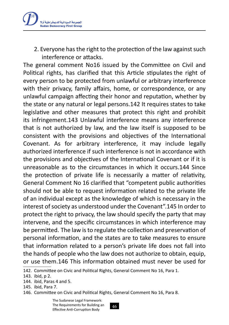

2. Everyone has the right to the protection of the law against such interference or attacks.

The general comment No16 issued by the Committee on Civil and Political rights, has clarified that this Article stipulates the right of every person to be protected from unlawful or arbitrary interference with their privacy, family affairs, home, or correspondence, or any unlawful campaign affecting their honor and reputation, whether by the state or any natural or legal persons.142 It requires states to take legislative and other measures that protect this right and prohibit its infringement.143 Unlawful interference means any interference that is not authorized by law, and the law itself is supposed to be consistent with the provisions and objectives of the International Covenant. As for arbitrary interference, it may include legally authorized interference if such interference is not in accordance with the provisions and objectives of the International Covenant or if it is unreasonable as to the circumstances in which it occurs.144 Since the protection of private life is necessarily a matter of relativity, General Comment No 16 clarified that "competent public authorities should not be able to request information related to the private life of an individual except as the knowledge of which is necessary in the interest of society as understood under the Covenant".145 In order to protect the right to privacy, the law should specify the party that may intervene, and the specific circumstances in which interference may be permitted. The law isto regulate the collection and preservation of personal information, and the states are to take measures to ensure that information related to a person's private life does not fall into the hands of people who the law does not authorize to obtain, equip, or use them.146 This information obtained must never be used for

146. Committee on Civic and Political Rights, General Comment No 16, Para 8.

The Sudanese Legal Framework: The Requirements for Building an Effective Anti-Corruption Body

<sup>142</sup>. Committee on Civic and Political Rights, General Comment No 16, Para 1.

<sup>143</sup>. ibid, p 2.

<sup>144</sup>. ibid, Paras 4 and 5.

<sup>145</sup>. ibid, Para 7.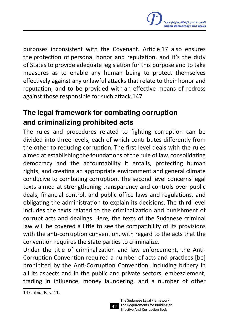

purposes inconsistent with the Covenant. Article 17 also ensures the protection of personal honor and reputation, and it's the duty of States to provide adequate legislation for this purpose and to take measures as to enable any human being to protect themselves effectively against any unlawful attacks that relate to their honor and reputation, and to be provided with an effective means of redress against those responsible for such attack.147

# The legal framework for combating corruption and criminalizing prohibited acts

The rules and procedures related to fighting corruption can be divided into three levels, each of which contributes differently from the other to reducing corruption. The first level deals with the rules aimed at establishing the foundations of the rule of law, consolidating democracy and the accountability it entails, protecting human rights, and creating an appropriate environment and general climate conducive to combating corruption. The second level concerns legal texts aimed at strengthening transparency and controls over public deals, financial control, and public office laws and regulations, and obligating the administration to explain its decisions. The third level includes the texts related to the criminalization and punishment of corrupt acts and dealings. Here, the texts of the Sudanese criminal law will be covered a little to see the compatibility of its provisions with the anti-corruption convention, with regard to the acts that the convention requires the state parties to criminalize.

Under the title of criminalization and law enforcement, the Anti-Corruption Convention required a number of acts and practices [be] prohibited by the Anti-Corruption Convention, including bribery in all its aspects and in the public and private sectors, embezzlement, trading in influence, money laundering, and a number of other



<sup>147</sup>. ibid, Para 11.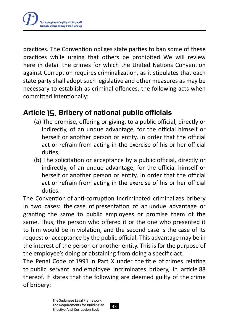practices. The Convention obliges state parties to ban some of these practices while urging that others be prohibited. We will review here in detail the crimes for which the United Nations Convention against Corruption requires criminalization, as it stipulates that each state party shall adopt such legislative and other measures as may be necessary to establish as criminal offences, the following acts when committed intentionally:

# Article 15. Bribery of national public officials

- (a) The promise, offering or giving, to a public official, directly or indirectly, of an undue advantage, for the official himself or herself or another person or entity, in order that the official act or refrain from acting in the exercise of his or her official duties;
- (b) The solicitation or acceptance by a public official, directly or indirectly, of an undue advantage, for the official himself or herself or another person or entity, in order that the official act or refrain from acting in the exercise of his or her official duties.

The Convention of anti-corruption Incriminated criminalizes bribery in two cases: the case of presentation of an undue advantage or granting the same to public employees or promise them of the same. Thus, the person who offered it or the one who presented it to him would be in violation, and the second case is the case of its request or acceptance by the public official. This advantage may be in the interest of the person or another entity. This is for the purpose of the employee's doing or abstaining from doing a specific act.

The Penal Code of 1991 in Part X under the title of crimes relating to public servant and employee incriminates bribery, in article 88 thereof. It states that the following are deemed guilty of the crime of bribery: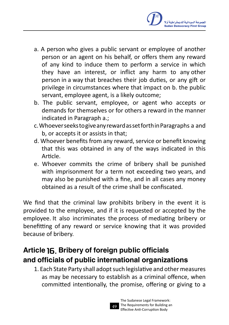

- a. A person who gives a public servant or employee of another person or an agent on his behalf, or offers them any reward of any kind to induce them to perform a service in which they have an interest, or inflict any harm to any other person in a way that breaches their job duties, or any gift or privilege in circumstances where that impact on b. the public servant, employee agent, is a likely outcome;
- b. The public servant, employee, or agent who accepts or demands for themselves or for others a reward in the manner indicated in Paragraph a.;
- c.WhoeverseekstogiveanyrewardassetforthinParagraphs a and b, or accepts it or assists in that;
- d. Whoever benefits from any reward, service or benefit knowing that this was obtained in any of the ways indicated in this Article.
- e. Whoever commits the crime of bribery shall be punished with imprisonment for a term not exceeding two years, and may also be punished with a fine, and in all cases any money obtained as a result of the crime shall be confiscated.

We find that the criminal law prohibits bribery in the event it is provided to the employee, and if it is requested or accepted by the employee. It also incriminates the process of mediating bribery or benefitting of any reward or service knowing that it was provided because of bribery.

# Article 16. Bribery of foreign public officials and officials of public international organizations

1. Each State Party shall adopt such legislative and other measures as may be necessary to establish as a criminal offence, when committed intentionally, the promise, offering or giving to a

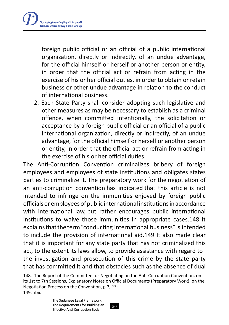

foreign public official or an official of a public international organization, directly or indirectly, of an undue advantage, for the official himself or herself or another person or entity, in order that the official act or refrain from acting in the exercise of his or her official duties, in order to obtain or retain business or other undue advantage in relation to the conduct of international business.

2. Each State Party shall consider adopting such legislative and other measures as may be necessary to establish as a criminal offence, when committed intentionally, the solicitation or acceptance by a foreign public official or an official of a public international organization, directly or indirectly, of an undue advantage, for the official himself or herself or another person or entity, in order that the official act or refrain from acting in the exercise of his or her official duties.

The Anti-Corruption Convention criminalizes bribery of foreign employees and employees of state institutions and obligates states parties to criminalize it. The preparatory work for the negotiation of an anti-corruption convention has indicated that this article is not intended to infringe on the immunities enjoyed by foreign public officials or employeesof public international institutionsin accordance with international law, but rather encourages public international institutions to waive those immunities in appropriate cases.148 It explains that the term "conducting international business" is intended to include the provision of international aid.149 It also made clear that it is important for any state party that has not criminalized this act, to the extent its laws allow, to provide assistance with regard to the investigation and prosecution of this crime by the state party that has committed it and that obstacles such as the absence of dual

<sup>148</sup>. The Report of the Committee for Negotiating on the Anti-Corruption Convention, on its 1st to 7th Sessions, Explanatory Notes on Official Documents (Preparatory Work), on the Negotiation Process on the Convention, p 7. 2003. 149. ibid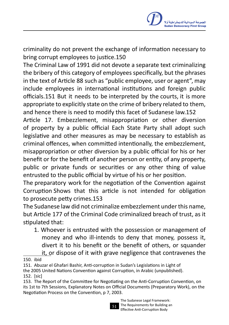criminality do not prevent the exchange of information necessary to bring corrupt employees to justice.150

The Criminal Law of 1991 did not devote a separate text criminalizing the bribery of this category of employees specifically, but the phrases in the text of Article 88 such as "public employee, user or agent", may include employees in international institutions and foreign public officials.151 But it needs to be interpreted by the courts, it is more appropriate to explicitly state on the crime of bribery related to them, and hence there is need to modify this facet of Sudanese law.152

Article 17. Embezzlement, misappropriation or other diversion of property by a public official Each State Party shall adopt such legislative and other measures as may be necessary to establish as criminal offences, when committed intentionally, the embezzlement, misappropriation or other diversion by a public official for his or her benefit or for the benefit of another person or entity, of any property, public or private funds or securities or any other thing of value entrusted to the public official by virtue of his or her position.

The preparatory work for the negotiation of the Convention against Corruption Shows that this article is not intended for obligation to prosecute petty crimes.153

The Sudanese law did not criminalize embezzlement under this name, but Article 177 of the Criminal Code criminalized breach of trust, as it stipulated that:

1. Whoever is entrusted with the possession or management of money and who ill-intends to deny that money, possess it, divert it to his benefit or the benefit of others, or squander it, or dispose of it with grave negligence that contravenes the

152. [sic]

<sup>153</sup>. The Report of the Committee for Negotiating on the Anti-Corruption Convention, on its 1st to 7th Sessions, Explanatory Notes on Official Documents (Preparatory Work), on the Negotiation Process on the Convention, p 7, 2003.



<sup>150.</sup> ibid

<sup>151</sup>. Abuzar el Ghafari Bashir, Anti-corruption in Sudan's Legislations in Light of

the 2005 United Nations Convention against Corruption, in Arabic (unpublished).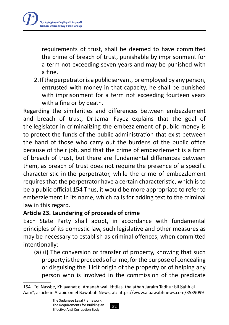

requirements of trust, shall be deemed to have committed the crime of breach of trust, punishable by imprisonment for a term not exceeding seven years and may be punished with a fine.

2. If the perpetrator is a public servant, or employed by any person, entrusted with money in that capacity, he shall be punished with imprisonment for a term not exceeding fourteen years with a fine or by death.

Regarding the similarities and differences between embezzlement and breach of trust, Dr Jamal Fayez explains that the goal of the legislator in criminalizing the embezzlement of public money is to protect the funds of the public administration that exist between the hand of those who carry out the burdens of the public office because of their job, and that the crime of embezzlement is a form of breach of trust, but there are fundamental differences between them, as breach of trust does not require the presence of a specific characteristic in the perpetrator, while the crime of embezzlement requires that the perpetrator have a certain characteristic, which is to be a public official.154 Thus, it would be more appropriate to refer to embezzlement in its name, which calls for adding text to the criminal law in this regard.

#### **Article 23. Laundering of proceeds of crime**

Each State Party shall adopt, in accordance with fundamental principles of its domestic law, such legislative and other measures as may be necessary to establish as criminal offences, when committed intentionally:

(a) (i) The conversion or transfer of property, knowing that such property is the proceeds of crime, for the purpose of concealing or disguising the illicit origin of the property or of helping any person who is involved in the commission of the predicate

<sup>154</sup>. "el Nassbe, Khiayanat el Amanah wal Ikhtilas, thalathah Jaraim Tadhur bil Salih el Aam", article in Arabic on el Bawabah News, at: https://www.albawabhnews.com/3539099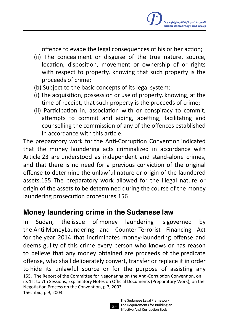

offence to evade the legal consequences of his or her action;

- (ii) The concealment or disguise of the true nature, source, location, disposition, movement or ownership of or rights with respect to property, knowing that such property is the proceeds of crime;
- (b) Subject to the basic concepts of its legal system:
- (i) The acquisition, possession or use of property, knowing, at the time of receipt, that such property is the proceeds of crime;
- (ii) Participation in, association with or conspiracy to commit, attempts to commit and aiding, abetting, facilitating and counselling the commission of any of the offences established in accordance with this article.

The preparatory work for the Anti-Corruption Convention indicated that the money laundering acts criminalized in accordance with Article 23 are understood as independent and stand-alone crimes, and that there is no need for a previous conviction of the original offense to determine the unlawful nature or origin of the laundered assets.155 The preparatory work allowed for the illegal nature or origin of the assets to be determined during the course of the money laundering prosecution procedures.156

#### Money laundering crime in the Sudanese law

In Sudan, the issue of money laundering is governed by the Anti MoneyLaundering and Counter-Terrorist Financing Act for the year 2014 that incriminates money-laundering offense and deems guilty of this crime every person who knows or has reason to believe that any money obtained are proceeds of the predicate offense, who shall deliberately convert, transfer or replace it in order to hide its unlawful source or for the purpose of assisting any 155. The Report of the Committee for Negotiating on the Anti-Corruption Convention, on its 1st to 7th Sessions, Explanatory Notes on Official Documents (Preparatory Work), on the Negotiation Process on the Convention, p 7, 2003. 156. ibid, p 9, 2003.

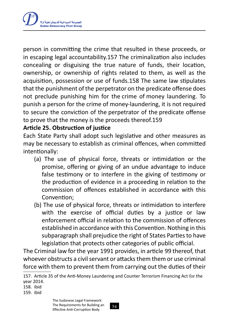

person in committing the crime that resulted in these proceeds, or in escaping legal accountability.157 The criminalization also includes concealing or disguising the true nature of funds, their location, ownership, or ownership of rights related to them, as well as the acquisition, possession or use of funds.158 The same law stipulates that the punishment of the perpetrator on the predicate offense does not preclude punishing him for the crime of money laundering. To punish a person for the crime of money-laundering, it is not required to secure the conviction of the perpetrator of the predicate offense to prove that the money is the proceeds thereof.159

#### **Article 25. Obstruction of justice**

Each State Party shall adopt such legislative and other measures as may be necessary to establish as criminal offences, when committed intentionally:

- (a) The use of physical force, threats or intimidation or the promise, offering or giving of an undue advantage to induce false testimony or to interfere in the giving of testimony or the production of evidence in a proceeding in relation to the commission of offences established in accordance with this Convention;
- (b) The use of physical force, threats or intimidation to interfere with the exercise of official duties by a justice or law enforcement official in relation to the commission of offences established in accordance with this Convention. Nothing in this subparagraph shall prejudice the right of States Parties to have legislation that protects other categories of public official.

The Criminal law for the year 1991 provides, in article 99 thereof, that whoever obstructs a civil servant or attacks them them or use criminal force with them to prevent them from carrying out the duties of their

158. ibid

159. ibid

<sup>157</sup>. Article 35 of the Anti-Money Laundering and Counter Terrorism Financing Act for the year 2014.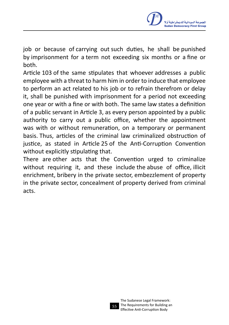

job or because of carrying out such duties, he shall be punished by imprisonment for a term not exceeding six months or a fine or both.

Article 103 of the same stipulates that whoever addresses a public employee with a threat to harm him in order to induce that employee to perform an act related to his job or to refrain therefrom or delay it, shall be punished with imprisonment for a period not exceeding one year or with a fine or with both. The same law states a definition of a public servant in Article 3, as every person appointed by a public authority to carry out a public office, whether the appointment was with or without remuneration, on a temporary or permanent basis. Thus, articles of the criminal law criminalized obstruction of justice, as stated in Article 25 of the Anti-Corruption Convention without explicitly stipulating that.

There are other acts that the Convention urged to criminalize without requiring it, and these include the abuse of office, illicit enrichment, bribery in the private sector, embezzlement of property in the private sector, concealment of property derived from criminal acts.

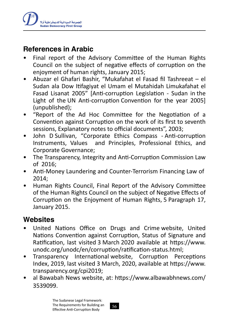

### References in Arabic

- Final report of the Advisory Committee of the Human Rights Council on the subject of negative effects of corruption on the enjoyment of human rights, January 2015;
- Abuzar el Ghafari Bashir, "Mukafahat el Fasad fil Tashreeat el Sudan ala Dow Itifagiyat el Umam el Mutahidah Limukafahat el Fasad Lisanat 2005" [Anti-corruption Legislation - Sudan in the Light of the UN Anti-corruption Convention for the year 2005] (unpublished);
- "Report of the Ad Hoc Committee for the Negotiation of a Convention against Corruption on the work of its first to seventh sessions, Explanatory notes to official documents", 2003;
- John D Sullivan, "Corporate Ethics Compass Anti-corruption Instruments, Values and Principles, Professional Ethics, and Corporate Governance;
- The Transparency, Integrity and Anti-Corruption Commission Law of 2016;
- Anti-Money Laundering and Counter-Terrorism Financing Law of 2014;
- Human Rights Council, Final Report of the Advisory Committee of the Human Rights Council on the subject of Negative Effects of Corruption on the Enjoyment of Human Rights, 5 Paragraph 17, January 2015.

#### **Websites**

- United Nations Office on Drugs and Crime website, United Nations Convention against Corruption, Status of Signature and Ratification, last visited 3 March 2020 available at https://www. unodc.org/unodc/en/corruption/ratification-status.html;
- Transparency International website, Corruption Perceptions Index, 2019, last visited 3 March, 2020, available at https://www. transparency.org/cpi2019;
- al Bawabah News website, at: https://www.albawabhnews.com/ 3539099.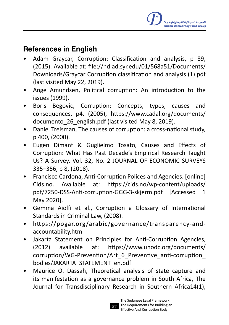# References in English

- Adam Graycar, Corruption: Classification and analysis, p 89, (2015). Available at: file://hd.ad.syr.edu/01/568a51/Documents/ Downloads/Graycar Corruption classification and analysis (1).pdf (last visited May 22, 2019).
- Ange Amundsen, Political corruption: An introduction to the issues (1999).
- Boris Begovic, Corruption: Concepts, types, causes and consequences, p4, (2005), https://www.cadal.org/documents/ documento\_26\_english.pdf (last visited May 8, 2019).
- Daniel Treisman, The causes of corruption: a cross-national study, p 400, (2000).
- Eugen Dimant & Guglielmo Tosato, Causes and Effects of Corruption: What Has Past Decade's Empirical Research Taught Us? A Survey, Vol. 32, No. 2 JOURNAL OF ECONOMIC SURVEYS 335–356, p 8, (2018).
- Francisco Cardona, Anti-Corruption Polices and Agencies, Jonline] Cids.no. Available at: https://cids.no/wp-content/uploads/ pdf/7250-DSS-Anti-corruption-GGG-3-skjerm.pdf [Accessed 1 May 2020].
- Gemma Aiolfi et al., Corruption a Glossary of International Standards in Criminal Law, (2008).
- https://pogar.org /arabic/governance/transparency-andaccountability.html
- Jakarta Statement on Principles for Anti-Corruption Agencies, (2012) available at: https://www.unodc.org/documents/ corruption/WG-Prevention/Art\_6\_Preventive\_anti-corruption\_ bodies/JAKARTA\_STATEMENT\_en.pdf
- Maurice O. Dassah, Theoretical analysis of state capture and its manifestation as a governance problem in South Africa, The Journal for Transdisciplinary Research in Southern Africa14(1),